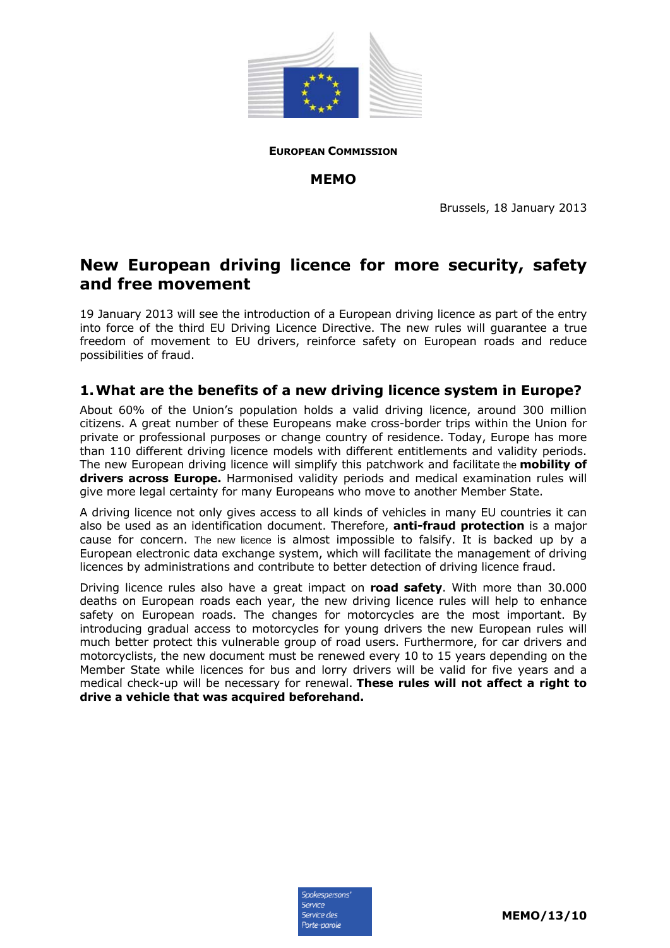

**EUROPEAN COMMISSION**

#### **MEMO**

Brussels, 18 January 2013

# **New European driving licence for more security, safety and free movement**

19 January 2013 will see the introduction of a European driving licence as part of the entry into force of the third EU Driving Licence Directive. The new rules will guarantee a true freedom of movement to EU drivers, reinforce safety on European roads and reduce possibilities of fraud.

### **1. What are the benefits of a new driving licence system in Europe?**

About 60% of the Union's population holds a valid driving licence, around 300 million citizens. A great number of these Europeans make cross-border trips within the Union for private or professional purposes or change country of residence. Today, Europe has more than 110 different driving licence models with different entitlements and validity periods. The new European driving licence will simplify this patchwork and facilitate the **mobility of drivers across Europe.** Harmonised validity periods and medical examination rules will give more legal certainty for many Europeans who move to another Member State.

A driving licence not only gives access to all kinds of vehicles in many EU countries it can also be used as an identification document. Therefore, **anti-fraud protection** is a major cause for concern. The new licence is almost impossible to falsify. It is backed up by a European electronic data exchange system, which will facilitate the management of driving licences by administrations and contribute to better detection of driving licence fraud.

Driving licence rules also have a great impact on **road safety**. With more than 30.000 deaths on European roads each year, the new driving licence rules will help to enhance safety on European roads. The changes for motorcycles are the most important. By introducing gradual access to motorcycles for young drivers the new European rules will much better protect this vulnerable group of road users. Furthermore, for car drivers and motorcyclists, the new document must be renewed every 10 to 15 years depending on the Member State while licences for bus and lorry drivers will be valid for five years and a medical check-up will be necessary for renewal. **These rules will not affect a right to drive a vehicle that was acquired beforehand.** 

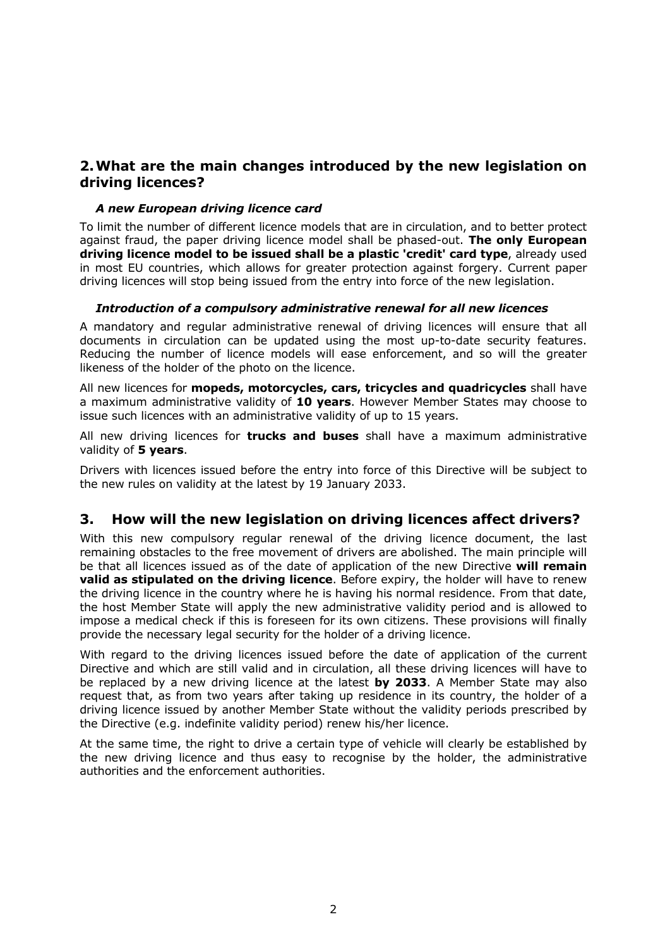## **2. What are the main changes introduced by the new legislation on driving licences?**

#### *A new European driving licence card*

To limit the number of different licence models that are in circulation, and to better protect against fraud, the paper driving licence model shall be phased-out. **The only European driving licence model to be issued shall be a plastic 'credit' card type**, already used in most EU countries, which allows for greater protection against forgery. Current paper driving licences will stop being issued from the entry into force of the new legislation.

#### *Introduction of a compulsory administrative renewal for all new licences*

A mandatory and regular administrative renewal of driving licences will ensure that all documents in circulation can be updated using the most up-to-date security features. Reducing the number of licence models will ease enforcement, and so will the greater likeness of the holder of the photo on the licence.

All new licences for **mopeds, motorcycles, cars, tricycles and quadricycles** shall have a maximum administrative validity of **10 years**. However Member States may choose to issue such licences with an administrative validity of up to 15 years.

All new driving licences for **trucks and buses** shall have a maximum administrative validity of **5 years**.

Drivers with licences issued before the entry into force of this Directive will be subject to the new rules on validity at the latest by 19 January 2033.

## **3. How will the new legislation on driving licences affect drivers?**

With this new compulsory regular renewal of the driving licence document, the last remaining obstacles to the free movement of drivers are abolished. The main principle will be that all licences issued as of the date of application of the new Directive **will remain valid as stipulated on the driving licence**. Before expiry, the holder will have to renew the driving licence in the country where he is having his normal residence. From that date, the host Member State will apply the new administrative validity period and is allowed to impose a medical check if this is foreseen for its own citizens. These provisions will finally provide the necessary legal security for the holder of a driving licence.

With regard to the driving licences issued before the date of application of the current Directive and which are still valid and in circulation, all these driving licences will have to be replaced by a new driving licence at the latest **by 2033**. A Member State may also request that, as from two years after taking up residence in its country, the holder of a driving licence issued by another Member State without the validity periods prescribed by the Directive (e.g. indefinite validity period) renew his/her licence.

At the same time, the right to drive a certain type of vehicle will clearly be established by the new driving licence and thus easy to recognise by the holder, the administrative authorities and the enforcement authorities.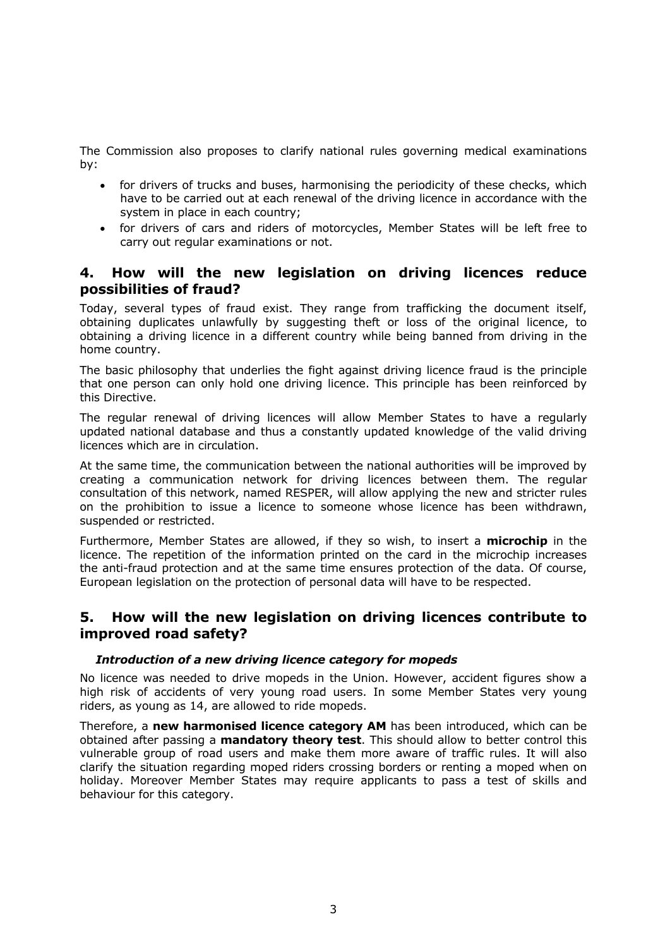The Commission also proposes to clarify national rules governing medical examinations by:

- for drivers of trucks and buses, harmonising the periodicity of these checks, which have to be carried out at each renewal of the driving licence in accordance with the system in place in each country;
- for drivers of cars and riders of motorcycles, Member States will be left free to carry out regular examinations or not.

### **4. How will the new legislation on driving licences reduce possibilities of fraud?**

Today, several types of fraud exist. They range from trafficking the document itself, obtaining duplicates unlawfully by suggesting theft or loss of the original licence, to obtaining a driving licence in a different country while being banned from driving in the home country.

The basic philosophy that underlies the fight against driving licence fraud is the principle that one person can only hold one driving licence. This principle has been reinforced by this Directive.

The regular renewal of driving licences will allow Member States to have a regularly updated national database and thus a constantly updated knowledge of the valid driving licences which are in circulation.

At the same time, the communication between the national authorities will be improved by creating a communication network for driving licences between them. The regular consultation of this network, named RESPER, will allow applying the new and stricter rules on the prohibition to issue a licence to someone whose licence has been withdrawn, suspended or restricted.

Furthermore, Member States are allowed, if they so wish, to insert a **microchip** in the licence. The repetition of the information printed on the card in the microchip increases the anti-fraud protection and at the same time ensures protection of the data. Of course, European legislation on the protection of personal data will have to be respected.

### **5. How will the new legislation on driving licences contribute to improved road safety?**

#### *Introduction of a new driving licence category for mopeds*

No licence was needed to drive mopeds in the Union. However, accident figures show a high risk of accidents of very young road users. In some Member States very young riders, as young as 14, are allowed to ride mopeds.

Therefore, a **new harmonised licence category AM** has been introduced, which can be obtained after passing a **mandatory theory test**. This should allow to better control this vulnerable group of road users and make them more aware of traffic rules. It will also clarify the situation regarding moped riders crossing borders or renting a moped when on holiday. Moreover Member States may require applicants to pass a test of skills and behaviour for this category.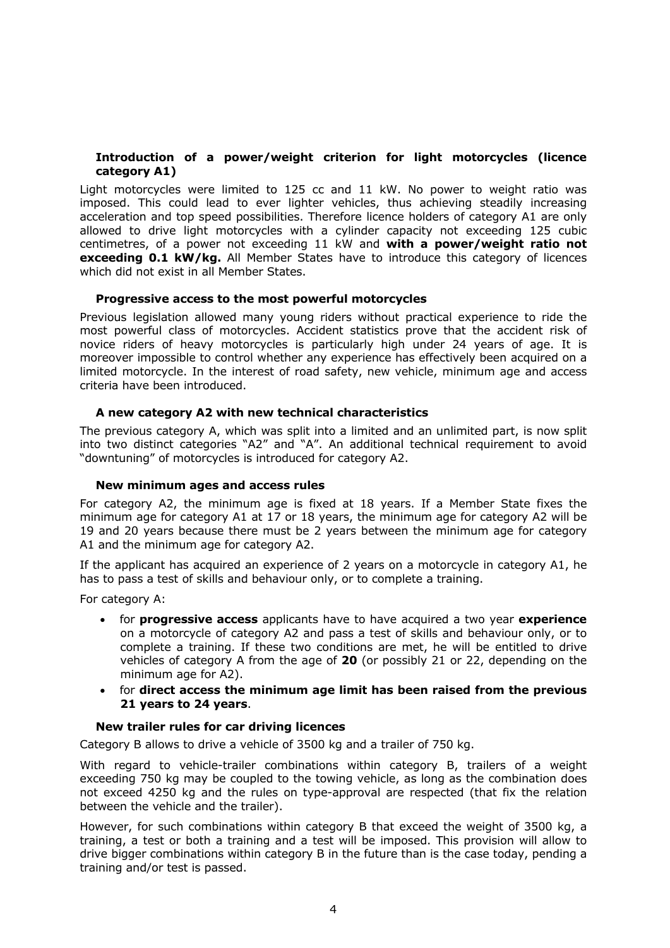#### **Introduction of a power/weight criterion for light motorcycles (licence category A1)**

Light motorcycles were limited to 125 cc and 11 kW. No power to weight ratio was imposed. This could lead to ever lighter vehicles, thus achieving steadily increasing acceleration and top speed possibilities. Therefore licence holders of category A1 are only allowed to drive light motorcycles with a cylinder capacity not exceeding 125 cubic centimetres, of a power not exceeding 11 kW and **with a power/weight ratio not exceeding 0.1 kW/kg.** All Member States have to introduce this category of licences which did not exist in all Member States.

#### **Progressive access to the most powerful motorcycles**

Previous legislation allowed many young riders without practical experience to ride the most powerful class of motorcycles. Accident statistics prove that the accident risk of novice riders of heavy motorcycles is particularly high under 24 years of age. It is moreover impossible to control whether any experience has effectively been acquired on a limited motorcycle. In the interest of road safety, new vehicle, minimum age and access criteria have been introduced.

#### **A new category A2 with new technical characteristics**

The previous category A, which was split into a limited and an unlimited part, is now split into two distinct categories "A2" and "A". An additional technical requirement to avoid "downtuning" of motorcycles is introduced for category A2.

#### **New minimum ages and access rules**

For category A2, the minimum age is fixed at 18 years. If a Member State fixes the minimum age for category A1 at 17 or 18 years, the minimum age for category A2 will be 19 and 20 years because there must be 2 years between the minimum age for category A1 and the minimum age for category A2.

If the applicant has acquired an experience of 2 years on a motorcycle in category A1, he has to pass a test of skills and behaviour only, or to complete a training.

For category A:

- for **progressive access** applicants have to have acquired a two year **experience** on a motorcycle of category A2 and pass a test of skills and behaviour only, or to complete a training. If these two conditions are met, he will be entitled to drive vehicles of category A from the age of **20** (or possibly 21 or 22, depending on the minimum age for A2).
- for **direct access the minimum age limit has been raised from the previous 21 years to 24 years**.

#### **New trailer rules for car driving licences**

Category B allows to drive a vehicle of 3500 kg and a trailer of 750 kg.

With regard to vehicle-trailer combinations within category B, trailers of a weight exceeding 750 kg may be coupled to the towing vehicle, as long as the combination does not exceed 4250 kg and the rules on type-approval are respected (that fix the relation between the vehicle and the trailer).

However, for such combinations within category B that exceed the weight of 3500 kg, a training, a test or both a training and a test will be imposed. This provision will allow to drive bigger combinations within category B in the future than is the case today, pending a training and/or test is passed.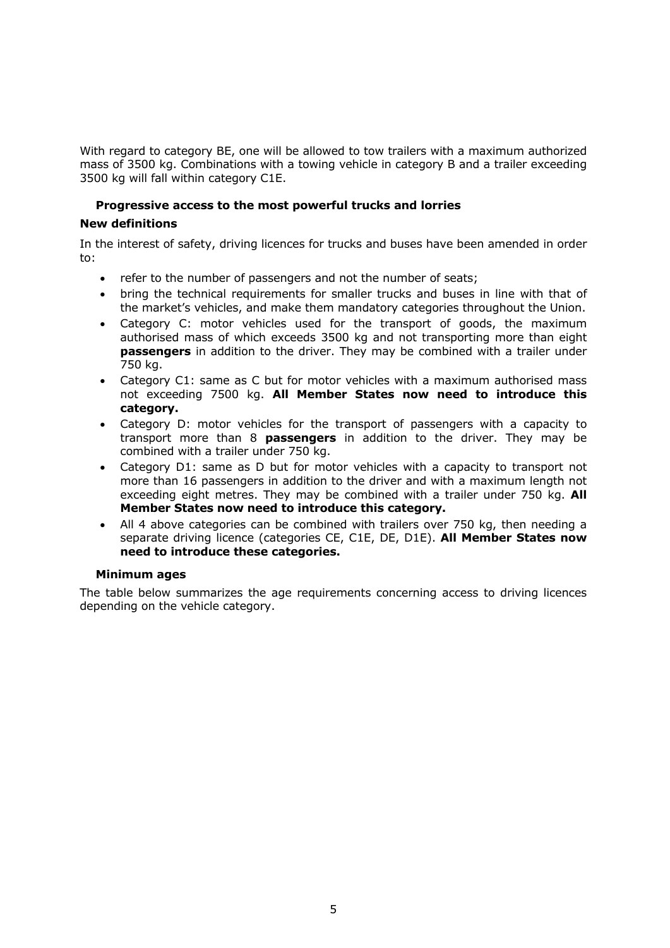With regard to category BE, one will be allowed to tow trailers with a maximum authorized mass of 3500 kg. Combinations with a towing vehicle in category B and a trailer exceeding 3500 kg will fall within category C1E.

#### **Progressive access to the most powerful trucks and lorries**

#### **New definitions**

In the interest of safety, driving licences for trucks and buses have been amended in order to:

- refer to the number of passengers and not the number of seats;
- bring the technical requirements for smaller trucks and buses in line with that of the market's vehicles, and make them mandatory categories throughout the Union.
- Category C: motor vehicles used for the transport of goods, the maximum authorised mass of which exceeds 3500 kg and not transporting more than eight **passengers** in addition to the driver. They may be combined with a trailer under 750 kg.
- Category C1: same as C but for motor vehicles with a maximum authorised mass not exceeding 7500 kg. **All Member States now need to introduce this category.**
- Category D: motor vehicles for the transport of passengers with a capacity to transport more than 8 **passengers** in addition to the driver. They may be combined with a trailer under 750 kg.
- Category D1: same as D but for motor vehicles with a capacity to transport not more than 16 passengers in addition to the driver and with a maximum length not exceeding eight metres. They may be combined with a trailer under 750 kg. **All Member States now need to introduce this category.**
- All 4 above categories can be combined with trailers over 750 kg, then needing a separate driving licence (categories CE, C1E, DE, D1E). **All Member States now need to introduce these categories.**

#### **Minimum ages**

The table below summarizes the age requirements concerning access to driving licences depending on the vehicle category.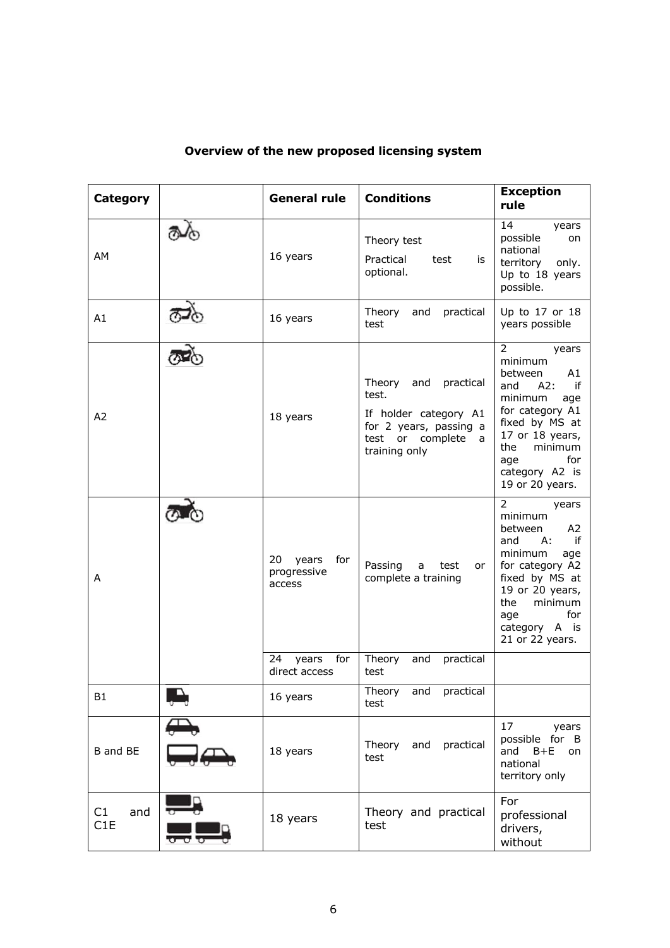| Category         | <b>General rule</b>                         | <b>Conditions</b>                                                                                                             | <b>Exception</b><br>rule                                                                                                                                                                                               |
|------------------|---------------------------------------------|-------------------------------------------------------------------------------------------------------------------------------|------------------------------------------------------------------------------------------------------------------------------------------------------------------------------------------------------------------------|
| AM               | 16 years                                    | Theory test<br>Practical<br>test<br>is<br>optional.                                                                           | 14<br>years<br>possible<br>on<br>national<br>territory<br>only.<br>Up to 18 years<br>possible.                                                                                                                         |
| A1               | 16 years                                    | Theory<br>practical<br>and<br>test                                                                                            | Up to 17 or 18<br>years possible                                                                                                                                                                                       |
| A2               | 18 years                                    | Theory<br>practical<br>and<br>test.<br>If holder category A1<br>for 2 years, passing a<br>test or complete a<br>training only | $\overline{2}$<br>years<br>minimum<br>between<br>A1<br>and<br>A2:<br>if<br>minimum<br>age<br>for category A1<br>fixed by MS at<br>17 or 18 years,<br>the<br>minimum<br>for<br>age<br>category A2 is<br>19 or 20 years. |
| A                | 20<br>years<br>for<br>progressive<br>access | Passing<br>a<br>test<br>or<br>complete a training                                                                             | 2<br>years<br>minimum<br>A <sub>2</sub><br>between<br>if<br>and<br>А:<br>minimum<br>age<br>for category A2<br>fixed by MS at<br>19 or 20 years,<br>the<br>minimum<br>for<br>age<br>category A is<br>21 or 22 years.    |
|                  | for<br>24<br>years<br>direct access         | Theory<br>practical<br>and<br>test                                                                                            |                                                                                                                                                                                                                        |
| <b>B1</b>        | 16 years                                    | Theory<br>and practical<br>test                                                                                               |                                                                                                                                                                                                                        |
| B and BE         | 18 years                                    | Theory<br>and<br>practical<br>test                                                                                            | 17<br>years<br>possible for B<br>and<br>$B + E$<br>on<br>national<br>territory only                                                                                                                                    |
| C1<br>and<br>C1E | 18 years                                    | Theory and practical<br>test                                                                                                  | For<br>professional<br>drivers,<br>without                                                                                                                                                                             |

## **Overview of the new proposed licensing system**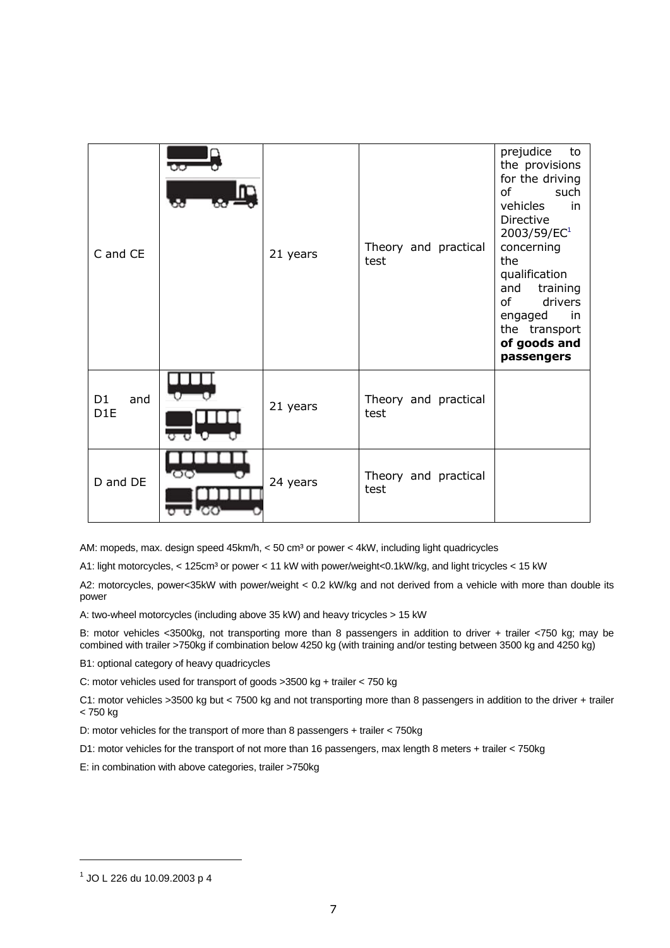| C and CE                                 | 21 years | Theory and practical<br>test | prejudice<br>to<br>the provisions<br>for the driving<br><sub>of</sub><br>such<br>vehicles<br>in<br>Directive<br>2003/59/EC <sup>1</sup><br>concerning<br>the<br>qualification<br>training<br>and<br><sub>of</sub><br>drivers<br>engaged<br>in<br>the transport<br>of goods and<br>passengers |
|------------------------------------------|----------|------------------------------|----------------------------------------------------------------------------------------------------------------------------------------------------------------------------------------------------------------------------------------------------------------------------------------------|
| D <sub>1</sub><br>and<br>D <sub>1E</sub> | 21 years | Theory and practical<br>test |                                                                                                                                                                                                                                                                                              |
| D and DE                                 | 24 years | Theory and practical<br>test |                                                                                                                                                                                                                                                                                              |

AM: mopeds, max. design speed 45km/h, < 50 cm<sup>3</sup> or power < 4kW, including light quadricycles

A1: light motorcycles, < 125cm<sup>3</sup> or power < 11 kW with power/weight<0.1kW/kg, and light tricycles < 15 kW

A2: motorcycles, power<35kW with power/weight < 0.2 kW/kg and not derived from a vehicle with more than double its power

A: two-wheel motorcycles (including above 35 kW) and heavy tricycles > 15 kW

B: motor vehicles <3500kg, not transporting more than 8 passengers in addition to driver + trailer <750 kg; may be combined with trailer >750kg if combination below 4250 kg (with training and/or testing between 3500 kg and 4250 kg)

B1: optional category of heavy quadricycles

C: motor vehicles used for transport of goods >3500 kg + trailer < 750 kg

C1: motor vehicles >3500 kg but < 7500 kg and not transporting more than 8 passengers in addition to the driver + trailer < 750 kg

D: motor vehicles for the transport of more than 8 passengers + trailer < 750kg

D1: motor vehicles for the transport of not more than 16 passengers, max length 8 meters + trailer < 750kg

E: in combination with above categories, trailer >750kg

-

<sup>1</sup> JO L 226 du 10.09.2003 p 4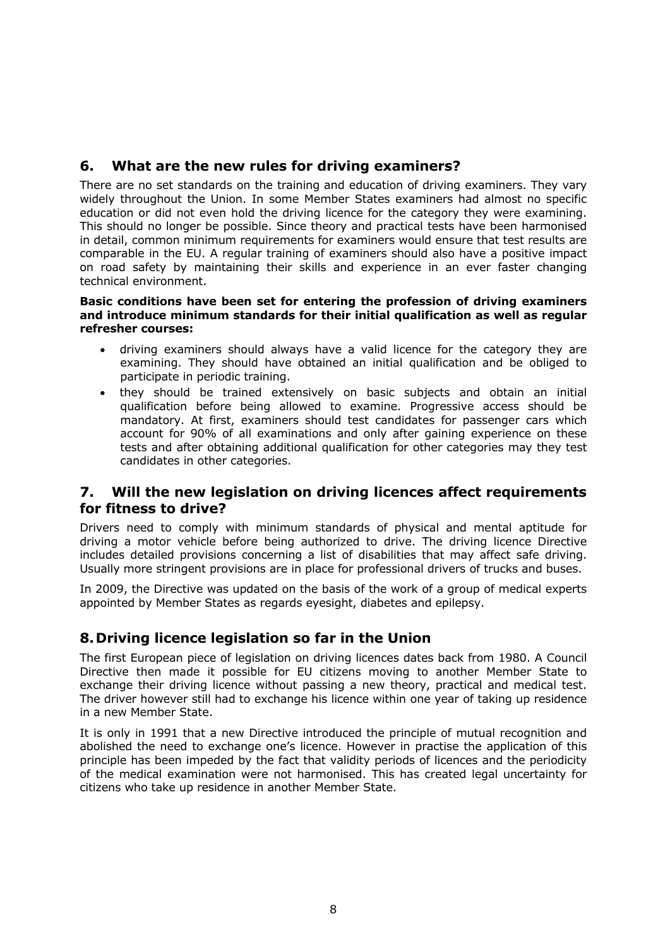## **6. What are the new rules for driving examiners?**

There are no set standards on the training and education of driving examiners. They vary widely throughout the Union. In some Member States examiners had almost no specific education or did not even hold the driving licence for the category they were examining. This should no longer be possible. Since theory and practical tests have been harmonised in detail, common minimum requirements for examiners would ensure that test results are comparable in the EU. A regular training of examiners should also have a positive impact on road safety by maintaining their skills and experience in an ever faster changing technical environment.

#### **Basic conditions have been set for entering the profession of driving examiners and introduce minimum standards for their initial qualification as well as regular refresher courses:**

- driving examiners should always have a valid licence for the category they are examining. They should have obtained an initial qualification and be obliged to participate in periodic training.
- they should be trained extensively on basic subjects and obtain an initial qualification before being allowed to examine. Progressive access should be mandatory. At first, examiners should test candidates for passenger cars which account for 90% of all examinations and only after gaining experience on these tests and after obtaining additional qualification for other categories may they test candidates in other categories.

### **7. Will the new legislation on driving licences affect requirements for fitness to drive?**

Drivers need to comply with minimum standards of physical and mental aptitude for driving a motor vehicle before being authorized to drive. The driving licence Directive includes detailed provisions concerning a list of disabilities that may affect safe driving. Usually more stringent provisions are in place for professional drivers of trucks and buses.

In 2009, the Directive was updated on the basis of the work of a group of medical experts appointed by Member States as regards eyesight, diabetes and epilepsy.

## **8. Driving licence legislation so far in the Union**

The first European piece of legislation on driving licences dates back from 1980. A Council Directive then made it possible for EU citizens moving to another Member State to exchange their driving licence without passing a new theory, practical and medical test. The driver however still had to exchange his licence within one year of taking up residence in a new Member State.

It is only in 1991 that a new Directive introduced the principle of mutual recognition and abolished the need to exchange one's licence. However in practise the application of this principle has been impeded by the fact that validity periods of licences and the periodicity of the medical examination were not harmonised. This has created legal uncertainty for citizens who take up residence in another Member State.